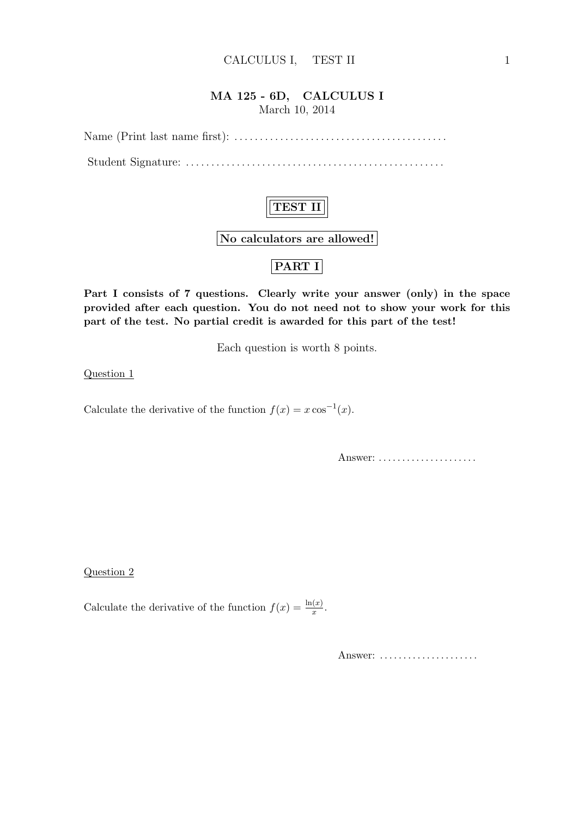#### MA 125 - 6D, CALCULUS I March 10, 2014

Name (Print last name first): . . . . . . . . . . . . . . . . . . . . . . . . . . . . . . . . . . . . . . . . . .

Student Signature: . . . . . . . . . . . . . . . . . . . . . . . . . . . . . . . . . . . . . . . . . . . . . . . . . . .



Part I consists of 7 questions. Clearly write your answer (only) in the space provided after each question. You do not need not to show your work for this part of the test. No partial credit is awarded for this part of the test!

Each question is worth 8 points.

Question 1

Calculate the derivative of the function  $f(x) = x \cos^{-1}(x)$ .

Answer: ......................

Question 2

Calculate the derivative of the function  $f(x) = \frac{\ln(x)}{x}$ .

Answer: .....................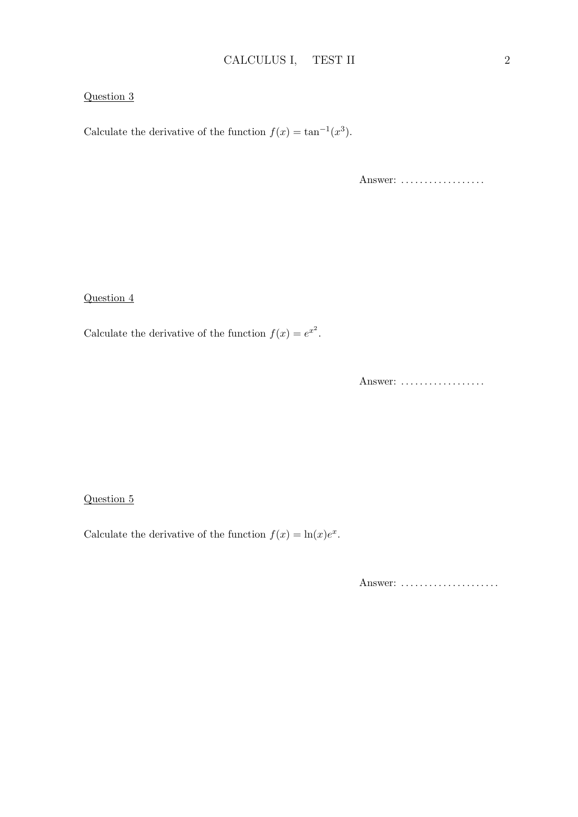#### Question 3

Calculate the derivative of the function  $f(x) = \tan^{-1}(x^3)$ .

Answer: ..................

Question 4

Calculate the derivative of the function  $f(x) = e^{x^2}$ .

Answer: ..................

#### Question 5

Calculate the derivative of the function  $f(x) = \ln(x)e^x$ .

Answer: ......................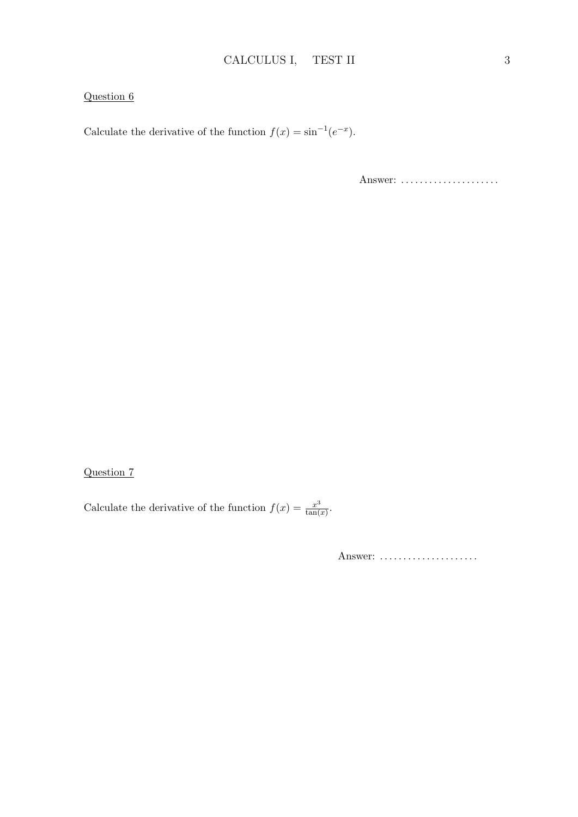### Question 6

Calculate the derivative of the function  $f(x) = \sin^{-1}(e^{-x})$ .

Answer: ......................

### Question 7

Calculate the derivative of the function  $f(x) = \frac{x^3}{\tan(x)}$  $\frac{x^3}{\tan(x)}$ .

Answer: ......................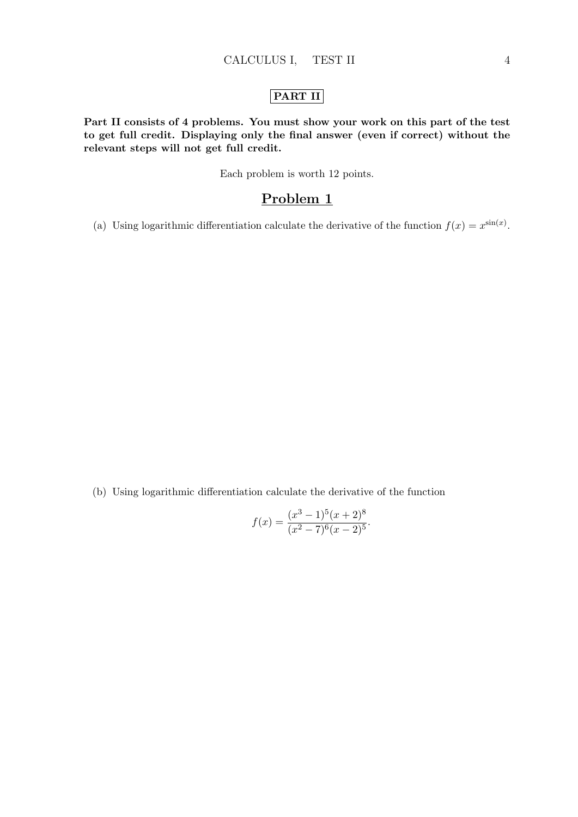### PART II

Part II consists of 4 problems. You must show your work on this part of the test to get full credit. Displaying only the final answer (even if correct) without the relevant steps will not get full credit.

Each problem is worth 12 points.

### Problem 1

(a) Using logarithmic differentiation calculate the derivative of the function  $f(x) = x^{\sin(x)}$ .

(b) Using logarithmic differentiation calculate the derivative of the function

$$
f(x) = \frac{(x^3 - 1)^5(x + 2)^8}{(x^2 - 7)^6(x - 2)^5}.
$$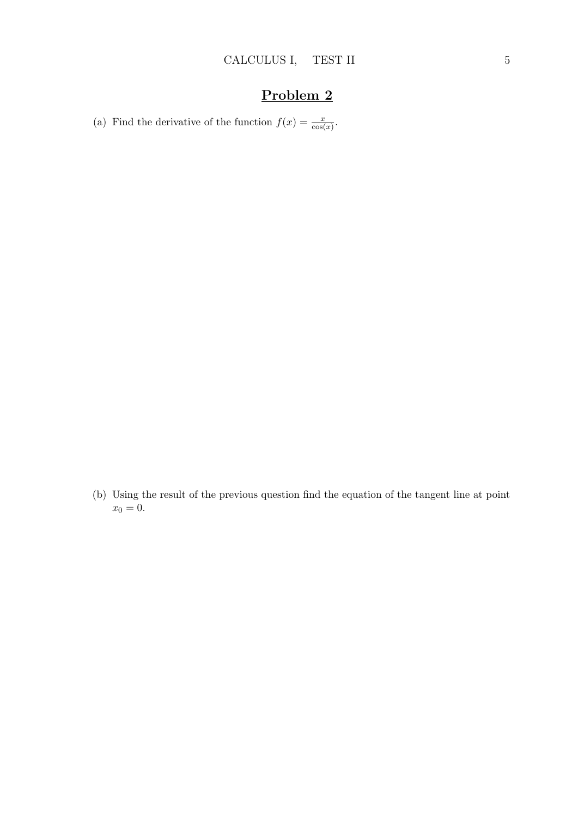# Problem 2

(a) Find the derivative of the function  $f(x) = \frac{x}{\cos(x)}$ .

(b) Using the result of the previous question find the equation of the tangent line at point  $x_0 = 0.$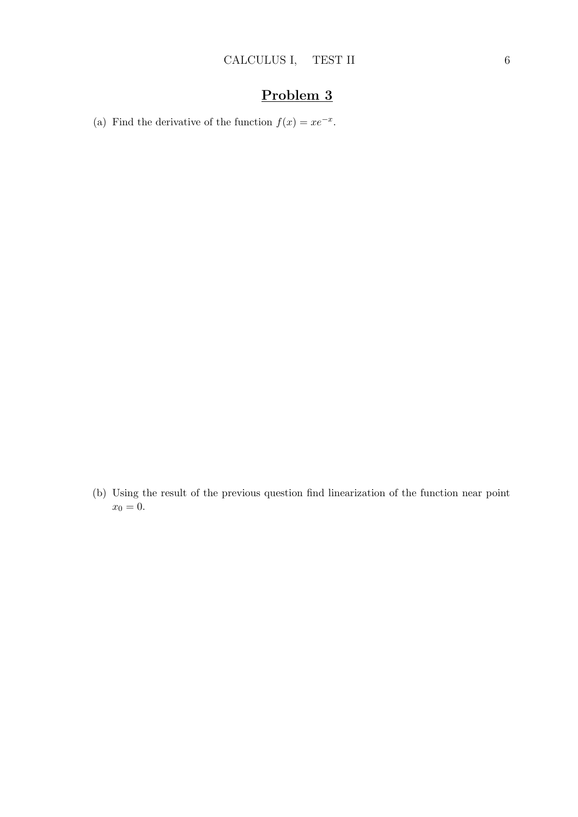# Problem 3

(a) Find the derivative of the function  $f(x) = xe^{-x}$ .

(b) Using the result of the previous question find linearization of the function near point  $x_0 = 0.$